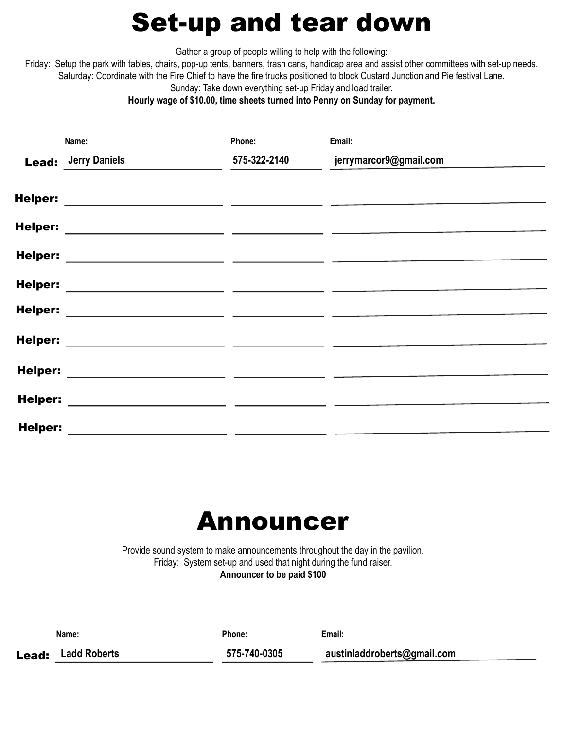#### Set-up and tear down

Gather a group of people willing to help with the following:

Friday: Setup the park with tables, chairs, pop-up tents, banners, trash cans, handicap area and assist other committees with set-up needs. Saturday: Coordinate with the Fire Chief to have the fire trucks positioned to block Custard Junction and Pie festival Lane. Sunday: Take down everything set-up Friday and load trailer.

Hourly wage of \$10.00, time sheets turned into Penny on Sunday for payment.

|                | Name:                                                                                                                | Phone:                                          | Email:                 |
|----------------|----------------------------------------------------------------------------------------------------------------------|-------------------------------------------------|------------------------|
| <b>Lead:</b>   | <b>Jerry Daniels</b>                                                                                                 | 575-322-2140                                    | jerrymarcor9@gmail.com |
|                | Helper: ______________________                                                                                       | the contract of the contract of the contract of |                        |
| <b>Helper:</b> | <u> 1989 - Andrea Andrew Maria (h. 1989).</u>                                                                        |                                                 |                        |
| <b>Helper:</b> | <u> 1989 - Andrea Andrew Alexander (h. 1989)</u>                                                                     |                                                 |                        |
| <b>Helper:</b> | <u> 1989 - Andrea Andrew Maria (h. 1989).</u>                                                                        |                                                 |                        |
| <b>Helper:</b> | <u> 1980 - Jan James James, amerikansk politik (</u>                                                                 |                                                 |                        |
| <b>Helper:</b> | <u> 1989 - Andrea Maria Alemania, presidente e a contra a un antigo de la contra a un antigo de la contra a un a</u> |                                                 |                        |
| <b>Helper:</b> |                                                                                                                      |                                                 |                        |
| <b>Helper:</b> |                                                                                                                      |                                                 |                        |
| <b>Helper:</b> |                                                                                                                      |                                                 |                        |
|                |                                                                                                                      |                                                 |                        |

## Announcer

Provide sound system to make announcements throughout the day in the pavilion. Friday: System set-up and used that night during the fund raiser. Announcer to be paid \$100

| Name:                     | Phone:       | Email:                      |  |
|---------------------------|--------------|-----------------------------|--|
| <b>Lead:</b> Ladd Roberts | 575-740-0305 | austinladdroberts@gmail.com |  |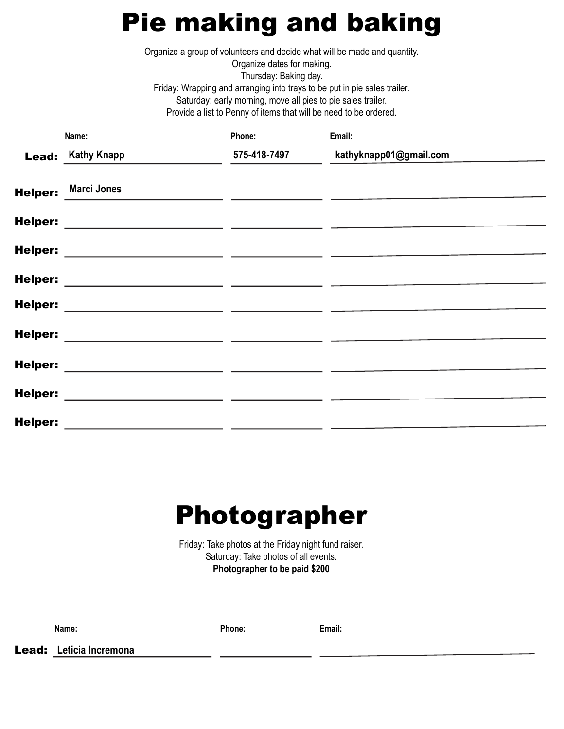## Pie making and baking

Organize a group of volunteers and decide what will be made and quantity.

Organize dates for making. Thursday: Baking day. Friday: Wrapping and arranging into trays to be put in pie sales trailer. Saturday: early morning, move all pies to pie sales trailer. Provide a list to Penny of items that will be need to be ordered.

|                | Name:                                                | Phone:       | Email:                                   |
|----------------|------------------------------------------------------|--------------|------------------------------------------|
| Lead:          | <b>Kathy Knapp</b>                                   | 575-418-7497 | kathyknapp01@gmail.com                   |
|                | <b>Marci Jones</b>                                   |              |                                          |
| <b>Helper:</b> |                                                      |              | <u> Albanya a San Anggota a Tanggari</u> |
| <b>Helper:</b> |                                                      |              |                                          |
| <b>Helper:</b> |                                                      |              |                                          |
| <b>Helper:</b> |                                                      |              |                                          |
| <b>Helper:</b> | <u> 1980 - Andrea Andrew Maria (h. 1980).</u>        |              |                                          |
|                | <u> 1989 - Andrea Andrew Alexandro III (m. 1989)</u> |              |                                          |
|                |                                                      |              |                                          |
| <b>Helper:</b> |                                                      |              |                                          |
| <b>Helper:</b> | <u> 1980 - Andrea Andrew Alexandro (h. 1980)</u>     |              |                                          |
| <b>Helper:</b> |                                                      |              |                                          |
|                | <u> 1980 - Andrea Andrew Maria (h. 1980).</u>        |              |                                          |

## Photographer

Friday: Take photos at the Friday night fund raiser. Saturday: Take photos of all events. Photographer to be paid \$200

Name: Email: Phone: Email:

Lead: Leticia Incremona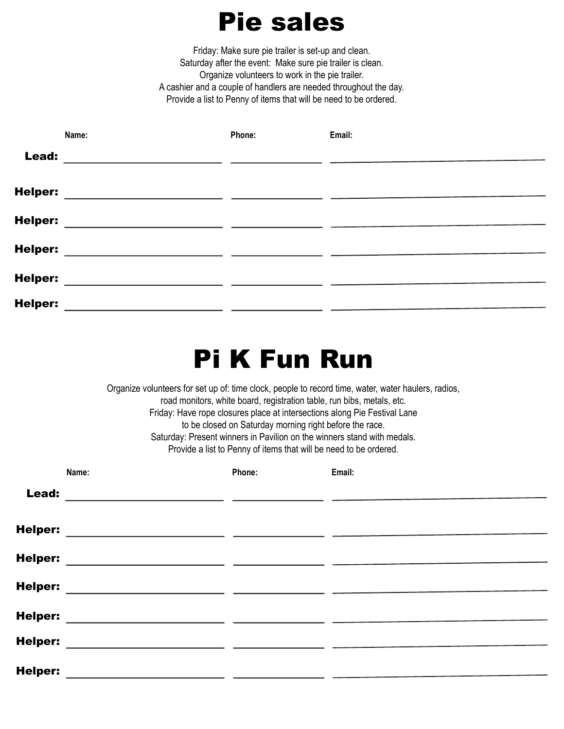#### Pie sales

Friday: Make sure pie trailer is set-up and clean. Saturday after the event: Make sure pie trailer is clean. Organize volunteers to work in the pie trailer. A cashier and a couple of handlers are needed throughout the day. Provide a list to Penny of items that will be need to be ordered.

|                | Name:                                         | Phone: | Email: |
|----------------|-----------------------------------------------|--------|--------|
| Lead:          |                                               |        |        |
| <b>Helper:</b> | <u> 1989 - Andrea Andrew Maria (h. 1989).</u> |        |        |
| <b>Helper:</b> |                                               |        |        |
| <b>Helper:</b> |                                               |        |        |
| <b>Helper:</b> |                                               |        |        |
| <b>Helper:</b> |                                               |        |        |

## Pi K Fun Run

Organize volunteers for set up of: time clock, people to record time, water, water haulers, radios, road monitors, white board, registration table, run bibs, metals, etc. Friday: Have rope closures place at intersections along Pie Festival Lane to be closed on Saturday morning right before the race. Saturday: Present winners in Pavilion on the winners stand with medals. Provide a list to Penny of items that will be need to be ordered.

|                | Name: | Phone: | Email: |
|----------------|-------|--------|--------|
| Lead:          |       |        |        |
| Helper:        |       |        |        |
| Helper:        |       |        |        |
| Helper:        |       |        |        |
| <b>Helper:</b> |       |        |        |
| Helper:        |       |        |        |
| Helper:        |       |        |        |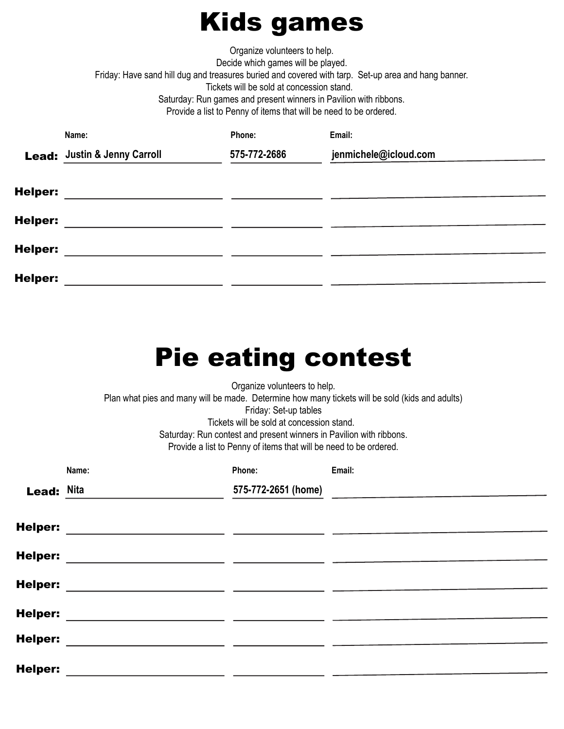### Kids games

Organize volunteers to help. Decide which games will be played. Friday: Have sand hill dug and treasures buried and covered with tarp. Set-up area and hang banner. Tickets will be sold at concession stand. Saturday: Run games and present winners in Pavilion with ribbons. Provide a list to Penny of items that will be need to be ordered.

|                | Name:                        | Phone:       | Email:                |
|----------------|------------------------------|--------------|-----------------------|
|                | Lead: Justin & Jenny Carroll | 575-772-2686 | jenmichele@icloud.com |
| <b>Helper:</b> |                              |              |                       |
| <b>Helper:</b> |                              |              |                       |
| <b>Helper:</b> |                              |              |                       |
| <b>Helper:</b> |                              |              |                       |
|                |                              |              |                       |

# Pie eating contest

Organize volunteers to help. Plan what pies and many will be made. Determine how many tickets will be sold (kids and adults) Friday: Set-up tables Tickets will be sold at concession stand. Saturday: Run contest and present winners in Pavilion with ribbons. Provide a list to Penny of items that will be need to be ordered.

|                   | Name: | Phone:              | Email: |
|-------------------|-------|---------------------|--------|
| <b>Lead: Nita</b> |       | 575-772-2651 (home) |        |
|                   |       |                     |        |
| <b>Helper:</b>    |       |                     |        |
| <b>Helper:</b>    |       |                     |        |
|                   |       |                     |        |
| <b>Helper:</b>    |       |                     |        |
| <b>Helper:</b>    |       |                     |        |
| <b>Helper:</b>    |       |                     |        |
|                   |       |                     |        |
| <b>Helper:</b>    |       |                     |        |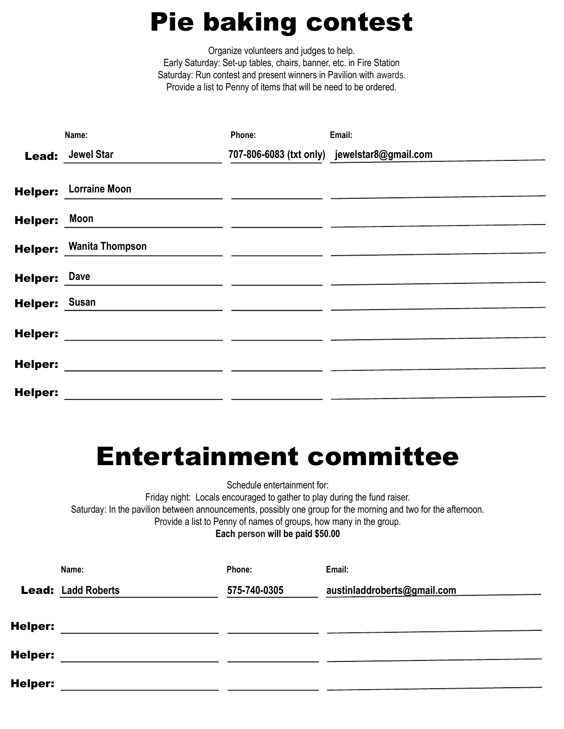## Pie baking contest

Organize volunteers and judges to help. Early Saturday: Set-up tables, chairs, banner, etc. in Fire Station Saturday: Run contest and present winners in Pavilion with awards. Provide a list to Penny of items that will be need to be ordered.

|                | Name:                  | Phone: | Email:                                       |
|----------------|------------------------|--------|----------------------------------------------|
| Lead:          | <b>Jewel Star</b>      |        | 707-806-6083 (txt only) jewelstar8@gmail.com |
| <b>Helper:</b> | <b>Lorraine Moon</b>   |        |                                              |
| <b>Helper:</b> | Moon                   |        |                                              |
| <b>Helper:</b> | <b>Wanita Thompson</b> |        |                                              |
| <b>Helper:</b> | Dave                   |        |                                              |
| <b>Helper:</b> | <b>Susan</b>           |        |                                              |
| <b>Helper:</b> |                        |        |                                              |
| <b>Helper:</b> |                        |        |                                              |
| <b>Helper:</b> |                        |        |                                              |

#### Entertainment committee

Schedule entertainment for:

Friday night: Locals encouraged to gather to play during the fund raiser.

Saturday: In the pavilion between announcements, possibly one group for the morning and two for the afternoon.

Provide a list to Penny of names of groups, how many in the group.

Each person will be paid \$50.00

|         | Name:                     | Phone:       | Email:                      |
|---------|---------------------------|--------------|-----------------------------|
|         | <b>Lead: Ladd Roberts</b> | 575-740-0305 | austinladdroberts@gmail.com |
| Helper: |                           |              |                             |
| Helper: |                           |              |                             |
| Helper: |                           |              |                             |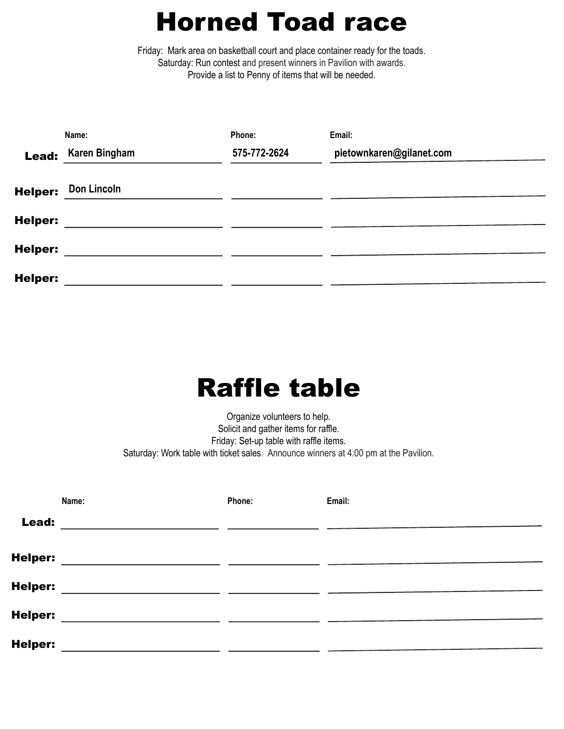## Horned Toad race

Friday: Mark area on basketball court and place container ready for the toads. Saturday: Run contest and present winners in Pavilion with awards. Provide a list to Penny of items that will be needed.

|                | Name:                | Phone:       | Email:                   |
|----------------|----------------------|--------------|--------------------------|
| Lead:          | <b>Karen Bingham</b> | 575-772-2624 | pietownkaren@gilanet.com |
| <b>Helper:</b> | Don Lincoln          |              |                          |
| <b>Helper:</b> |                      |              |                          |
| <b>Helper:</b> |                      |              |                          |
| <b>Helper:</b> |                      |              |                          |

## Raffle table

Organize volunteers to help. Solicit and gather items for raffle. Friday: Set-up table with raffle items. Saturday: Work table with ticket sales. Announce winners at 4:00 pm at the Pavilion.

|                | Name:                                                                                                                 | Phone: | Email: |
|----------------|-----------------------------------------------------------------------------------------------------------------------|--------|--------|
| Lead:          | <u> 1989 - Jan Sterling Sterling, amerikansk politiker (d. 1989)</u>                                                  |        |        |
| <b>Helper:</b> | <u> 1989 - Andrea Aonaichte, ann an t-Èireann an t-Èireann an t-Èireann an t-Èireann an t-Èireann an t-Èireann an</u> |        |        |
| <b>Helper:</b> |                                                                                                                       |        |        |
| <b>Helper:</b> |                                                                                                                       |        |        |
| <b>Helper:</b> |                                                                                                                       |        |        |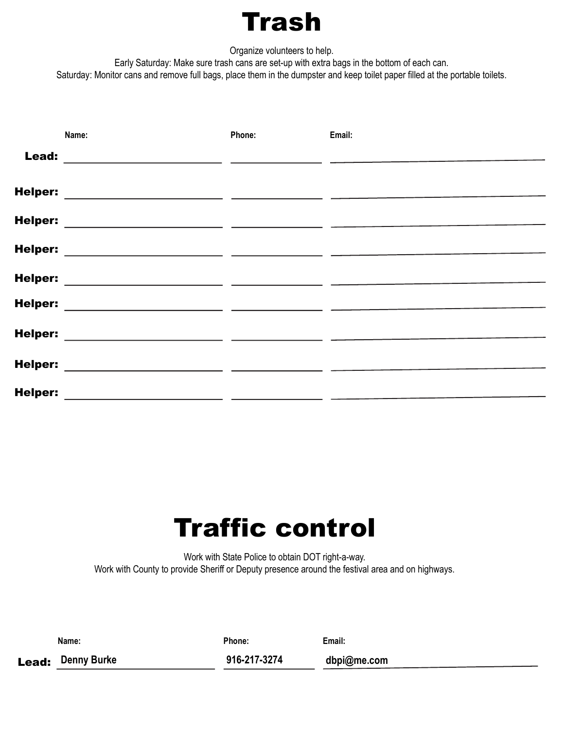## Trash

Organize volunteers to help.

Early Saturday: Make sure trash cans are set-up with extra bags in the bottom of each can.

Saturday: Monitor cans and remove full bags, place them in the dumpster and keep toilet paper filled at the portable toilets.

|                | Name:                                                                                                                                                                                                                                | Phone: | Email: |
|----------------|--------------------------------------------------------------------------------------------------------------------------------------------------------------------------------------------------------------------------------------|--------|--------|
| Lead:          |                                                                                                                                                                                                                                      |        |        |
| <b>Helper:</b> |                                                                                                                                                                                                                                      |        |        |
| <b>Helper:</b> | <u> 1989 - John Stein, Amerikaansk kanton (</u>                                                                                                                                                                                      |        |        |
| <b>Helper:</b> | <u> 1989 - Andrea Andrew Alexander (h. 1989)</u>                                                                                                                                                                                     |        |        |
| <b>Helper:</b> | <u> 1980 - Andrea Aonaichte ann an Aonaichte ann an t-</u>                                                                                                                                                                           |        |        |
| <b>Helper:</b> | <u> 1989 - John Stein, Amerikaansk politiker († 1908)</u>                                                                                                                                                                            |        |        |
| <b>Helper:</b> | <u> 1989 - Andrea Albert III, amerikan bisa dalam personal dan bisa dan bisa dalam personal dan bisa dalam personal dan bisa dan bisa dan bisa dan bisa dalam personal dan bisa dan bisa dan bisa dan bisa dan bisa dan bisa dan</u> |        |        |
| <b>Helper:</b> |                                                                                                                                                                                                                                      |        |        |
|                | the contract of the contract of the contract of the contract of                                                                                                                                                                      |        |        |
| <b>Helper:</b> |                                                                                                                                                                                                                                      |        |        |

## Traffic control

Work with State Police to obtain DOT right-a-way. Work with County to provide Sheriff or Deputy presence around the festival area and on highways.

| Name:                    | Phone:       | Email:      |
|--------------------------|--------------|-------------|
| <b>Lead:</b> Denny Burke | 916-217-3274 | dbpi@me.com |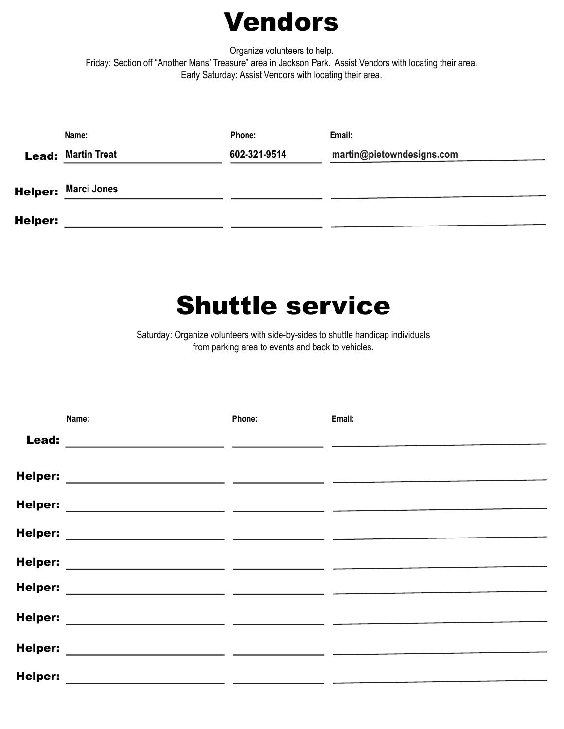#### Vendors

Organize volunteers to help. Friday: Section off "Another Mans' Treasure" area in Jackson Park. Assist Vendors with locating their area. Early Saturday: Assist Vendors with locating their area.

|                | Name:                      | Phone:       | Email:                    |
|----------------|----------------------------|--------------|---------------------------|
|                | <b>Lead: Martin Treat</b>  | 602-321-9514 | martin@pietowndesigns.com |
|                | <b>Helper: Marci Jones</b> |              |                           |
| <b>Helper:</b> |                            |              |                           |

#### Shuttle service

Saturday: Organize volunteers with side-by-sides to shuttle handicap individuals from parking area to events and back to vehicles.

|                | Name:                                                                                                                 | Phone: | Email: |
|----------------|-----------------------------------------------------------------------------------------------------------------------|--------|--------|
| Lead:          | the control of the control of the control of the control of the                                                       |        |        |
| <b>Helper:</b> |                                                                                                                       |        |        |
| <b>Helper:</b> | <u> 1980 - Jan Samuel Barbara, martin di</u>                                                                          |        |        |
| <b>Helper:</b> | <u> 1989 - Andrea Albert III, politik a postal de la provincia de la provincia de la provincia de la provincia d</u>  |        |        |
| <b>Helper:</b> |                                                                                                                       |        |        |
| <b>Helper:</b> | <u> 1990 - Jan James James James James James James James James James James James James James James James James J</u>  |        |        |
| <b>Helper:</b> | <u> 1989 - Andrea Andrew Maria (b. 19</u>                                                                             |        |        |
| <b>Helper:</b> |                                                                                                                       |        |        |
|                | the control of the control of the control of the control of the control of                                            |        |        |
| <b>Helper:</b> | <u> 1989 - Johann Harry Harry Harry Harry Harry Harry Harry Harry Harry Harry Harry Harry Harry Harry Harry Harry</u> |        |        |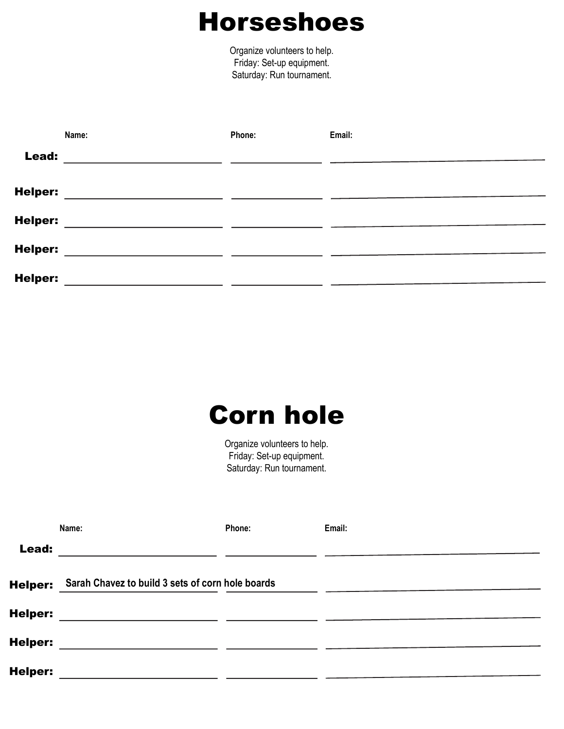#### Horseshoes

Organize volunteers to help. Friday: Set-up equipment. Saturday: Run tournament.

|                | Name: | Phone: | Email: |
|----------------|-------|--------|--------|
| Lead:          |       |        |        |
| <b>Helper:</b> |       |        |        |
| <b>Helper:</b> |       |        |        |
| <b>Helper:</b> |       |        |        |
| <b>Helper:</b> |       |        |        |

## Corn hole

Organize volunteers to help. Friday: Set-up equipment. Saturday: Run tournament.

|                | Name:                                                                                                                 | Phone: | Email: |
|----------------|-----------------------------------------------------------------------------------------------------------------------|--------|--------|
| Lead:          | <u> 1989 - Andrea Santa Alemania, amerikana amerikana amerikana amerikana amerikana amerikana amerikana amerikana</u> |        |        |
| <b>Helper:</b> | Sarah Chavez to build 3 sets of corn hole boards                                                                      |        |        |
| <b>Helper:</b> |                                                                                                                       |        |        |
| <b>Helper:</b> | <u>and the state of the state of the state of the state of the state of the state of the state of the state of th</u> |        |        |
| <b>Helper:</b> |                                                                                                                       |        |        |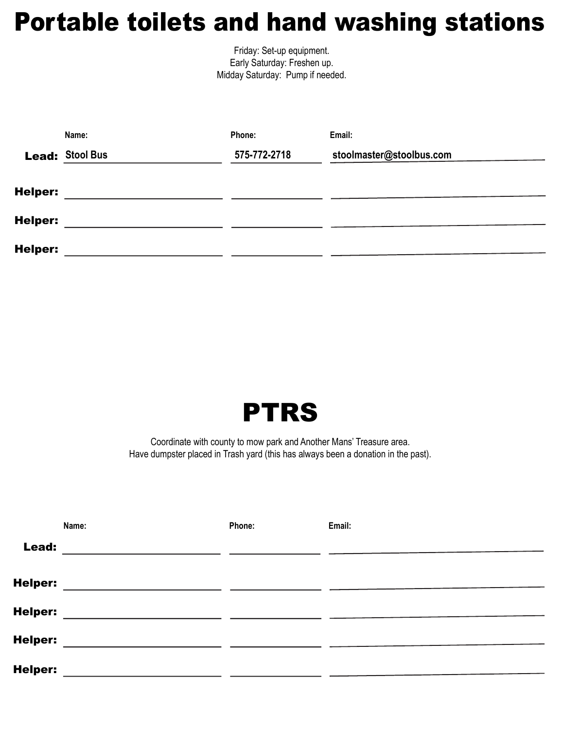### Portable toilets and hand washing stations

Friday: Set-up equipment. Early Saturday: Freshen up. Midday Saturday: Pump if needed.

|                | Name:                  | Phone:       | Email:                   |
|----------------|------------------------|--------------|--------------------------|
|                | <b>Lead: Stool Bus</b> | 575-772-2718 | stoolmaster@stoolbus.com |
|                |                        |              |                          |
| <b>Helper:</b> |                        |              |                          |
| <b>Helper:</b> |                        |              |                          |
|                |                        |              |                          |
| <b>Helper:</b> |                        |              |                          |



Coordinate with county to mow park and Another Mans' Treasure area. Have dumpster placed in Trash yard (this has always been a donation in the past).

|                | Name:                                                                                                                 | Phone: | Email: |
|----------------|-----------------------------------------------------------------------------------------------------------------------|--------|--------|
| Lead:          | <u> 1989 - Andrea San Andrea Andrea Andrea Andrea Andrea Andrea Andrea Andrea Andrea Andrea Andrea Andrea Andrea </u> |        |        |
| <b>Helper:</b> | <u> 1980 - Andrea Andrew Maria (h. 1980).</u>                                                                         |        |        |
| <b>Helper:</b> | <u> 1989 - Andrea Andrew Maria (h. 1989).</u>                                                                         |        |        |
| <b>Helper:</b> | <u> 1989 - Jan Sarah Barat, masjid ah bahaa kardinal dan menggunakan pada tahun 1980 - Kabupaten Barat, mengguna</u>  |        |        |
| <b>Helper:</b> | <u> 1989 - Johann Stoff, amerikansk politiker (* 1908)</u>                                                            |        |        |